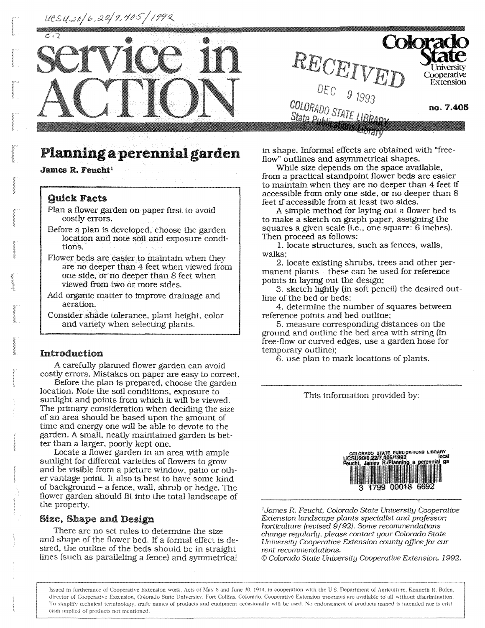UCSU20/6,22/9,405/1992





# **Planning a perennial** garden

**James R. Feucht<sup>1</sup>**

#### **Quick Facts**

- Plan a flower garden on paper first to avoid costly errors.
- Before a plan is developed, choose the garden location and note soil, and exposure conditions.
- Flower beds are easier to maintain when they are no deeper than 4 feet when viewed from one side, or no deeper than 8 feet when viewed from two or more sides.
- Add organic matter to improve drainage and aeration.
- Consider shade tolerance, plant height, color and variety when selecting plants.

#### Introduction

A carefully planned flower garden can avoid costly errors. Mistakes on paper are easy to correct.

Before the plan is prepared, choose the garden location. Note the soil conditions, exposure to sunlight and points from which it will be viewed. The primary consideration when deciding the size of an area should be based upon the amount of time and energy one will be able to devote to the garden. A small, neatly maintained garden is better than a larger, poorly kept one.

Locate a flower garden in an area with ample sunlight for different varieties of flowers to grow and be visible from a picture window, patio or other vantage point. It also is best to have some kind of background - a fence, wall, shrub or hedge. The flower garden should fit into the total landscape of the property.

## Size, **Shape** and Design

There are no set rules to determine the size and shape of the flower bed. If a formal effect is desired, the outline of the beds should be in straight lines (such as paralleling a fence) and symmetrical

in shape. Informal effects are obtained with "freeflow" outlines and asymmetrical shapes.

While size depends on the space available, from a practical standpoint flower beds are easier to maintain when they are no deeper than 4 feet if accessible from only one side, or no deeper than 8 feet if accessible from at least two sides.

A simple method for laying out a flower bed is to make a sketch on graph paper, assigning the squares a given scale (i.e., one square: 6 inches). Then proceed as follows:

1. locate structures, such as fences, walls, walks;

2. locate existing shrubs, trees and other permanent plants - these can be used for reference points in laying out the design;

3. sketch lightly (in soft pencil) the desired outline of the bed or beds;

4. determine the number of squares between reference points and bed outline;

5. measure corresponding distances on the ground and outline the bed area with string (in free-flow or curved edges, use a garden hose for temporary outline);

6. use plan to mark locations of plants.

This information provided by:



*'James R. Feucht, Colorado State University Cooperative Extension landscape plants specialist and professor; horticulture (revised 9/92), Some recommendations change regularly, please contact your Colorado State University Cooperative Extension county office for current recommendations.* 

*© Colorado State University Cooperative Extension. 1992.* 

Issued in furtherance of Cooperative Extension work, Acts of May 8 and June 30, 1914, in cooperation with the U.S. Department of Agriculture, Kenneth R. Bolen, director of **Cooperative** Extension, **Colorado** State University, Fort Collins, Colorado, Cooperative Extension programs are available to all without discrimination. To simplify technical terminology, trade names of products and equipment occasionally will be used. No endorsement of products named is intended nor is criticism implied of products not mentioned.